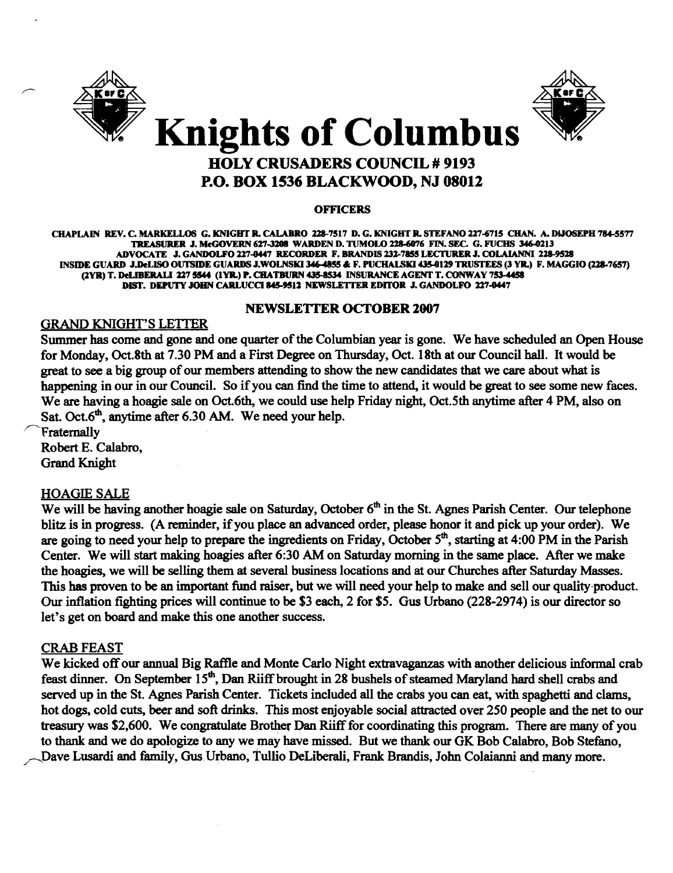



# HOLY CRUSADERS COUNCIL # 9193 P.O. BOX 1536 BLACKWOOD, NJ 08012

#### **OFFICERS**

CHAPLAIN REV. C. MARKELLOS G. KNIGHT R. CALABRO 128-7517 D. G. KNIGHT R. STEFANO 217-6715 CHAN. A. DiJOSEPH 784-5577 TREASURER J. McGOVERN 627-3208 WARDEN D. TUMOLO 228-6076 FIN. SEC. G. FUCHS 346-0213 ADVOCATE J. GANDOLFO 227-0447 RECORDER F. BRANDIS 232-7855 LECTURER J. COLAIANNI 228-9528 INSIDE GUARD J.DeLISO OUTSIDE GUARDS J.WOLNSKI 346-4855 & F. PUCHALSKI 435-0129 TRUSTEES (3 YR.) F. MAGGIO (228-7657) (2YR) T. DeLIBERALI 227 5544 (1YR.) P. CHATBURN 435-8534 INSURANCE AGENT T. CONWAY 753-4458 DIST. DEPUTY JOHN CARLUCCI 845-9512 NEWSLETTER EDITOR J. GANDOLFO 227-0447

#### NEWSLETTER OCTOBER 2007

# GRAND KNIGHT'S LEITER

Summer has come and gone and one quarter of the Columbian year is gone. We have scheduled an Open House for Monday, Oct.8th at 7.30 PM and a First Degree on Thursday, Oct. 18th at our Council hall. It would be great to see a big group of our members attending to show the new candidates that we care about what is happening in our in our Council. So if you can find the time to attend, it would be great to see some new faces. We are having a hoagie sale on Oct. 6th, we could use help Friday night, Oct. 5th anytime after 4 PM, also on Sat. Oct. $6<sup>th</sup>$ , anytime after 6.30 AM. We need your help.

**Fraternally** Robert E. Calabro, Grand Knight

# HOAGIE SALE

We will be having another hoagie sale on Saturday, October 6<sup>th</sup> in the St. Agnes Parish Center. Our telephone blitz is in progress. (A reminder, ifyou place an advanced order, please honor it and pick up your order). We are going to need your help to prepare the ingredients on Friday, October 5<sup>th</sup>, starting at 4:00 PM in the Parish Center. We will start making hoagies after 6:30 AM on Saturday morning in the same place. After we make the hoagies, we will be selling them at several business locations and at our Churches after Saturday Masses. This has proven to be an important fund raiser, but we will need your help to make and sell our quality-product. Our inflation fighting prices will continue to be \$3 each, 2 for \$5. Gus Urbano (228-2974) is our director so let's get on board and make this one another success.

## CRAB FEAST

We kicked off our annual Big Raffle and Monte Carlo Night extravaganzas with another delicious informal crab feast dinner. On September 15<sup>th</sup>, Dan Riiff brought in 28 bushels of steamed Maryland hard shell crabs and served up in the St. Agnes Parish Center. Tickets included all the crabs you can eat, with spaghetti and clams, hot dogs, cold cuts, beer and soft drinks. This most enjoyable social attracted over 250 people and the net to our treasury was \$2,600. We congratulate Brother Dan Riiff for coordinating this program. There are many of you to thank and we do apologize to any we may have missed. But we thank our GK Bob Calabro, Bob Stefano, Dave Lusardi and family, Gus Urbano, Tullio DeLiberali, Frank Brandis, John Colaianni and many more.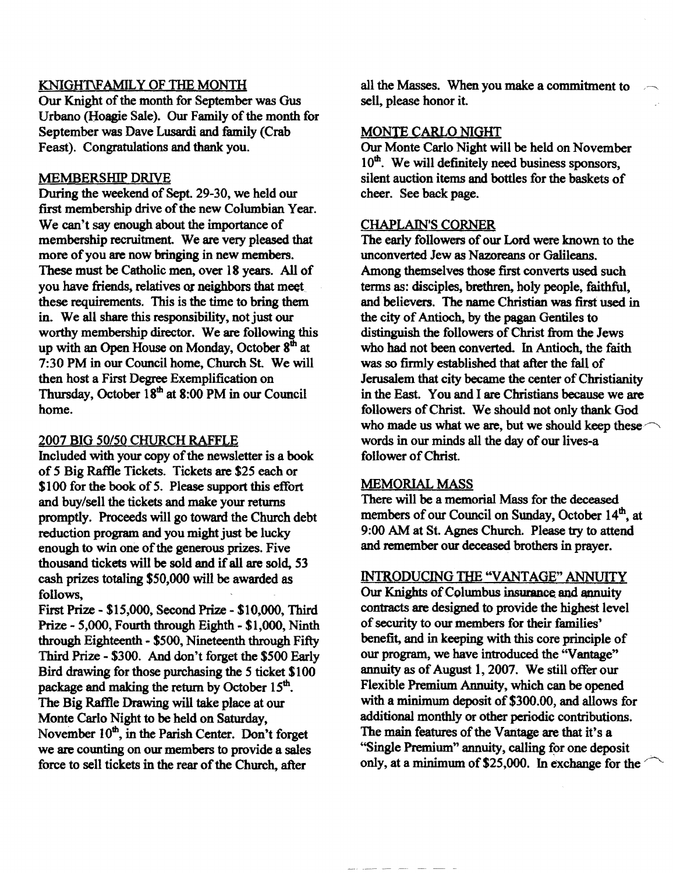## KNIGHT\FAMILY OF THE MONTH

Our Knight of the month for September was Gus Urbano (Hoagie Sale). Our Family of the month for September was Dave Lusardi and family (Crab Feast). Congratulations and thank you.

#### MEMBERSHIP DRIVE

During the weekend of Sept. 29-30, we held our first membership drive of the new Columbian Year. We can't say enough about the importance of membership recruitment. We are very pleased that more of you are now bringing in new members. These must be Catholic men, over 18 years. All of you have friends, relatives or neighbors that meet these requirements. This is the time to bring them in. We all share this responsibility, not just our worthy membership director. We are following this up with an Open House on Monday, October  $8<sup>th</sup>$  at 7:30 PM in our Council home, Church st. We will then host a First Degree Exemplification on Thursday, October 18<sup>th</sup> at 8:00 PM in our Council home.

## 2007 BIG 50/50 CHURCH RAFFLE

Included with your copy of the newsletter is a book of 5 Big Raftle Tickets. Tickets are \$25 each or \$100 for the book of 5. Please support this effort and buy/sell the tickets and make your returns promptly. Proceeds will go toward the Church debt reduction program and you might just be lucky enough to win one of the generous prizes. Five thousand tickets will be sold and if all are sold, 53 cash prizes totaling \$50,000 will be awarded as follows,

First prize - \$15,000, Second Prize - \$10,000, Third Prize - 5,000, Fourth through Eighth - \$1,000, Ninth through Eighteenth - \$500, Nineteenth through Fifty Third Prize - \$300. And don't forget the \$500 Early Bird drawing for those purchasing the 5 ticket \$100 package and making the return by October  $15<sup>th</sup>$ . The Big Raffle Drawing will take place at our Monte Carlo Night to be held on Saturday, November  $10<sup>th</sup>$ , in the Parish Center. Don't forget we are counting on our members to provide a sales force to sell tickets in the rear of the Church, after

all the Masses. When you make a commitment to sell, please honor it.

#### MONTE CARLO NIGHT

Our Monte Carlo Night will be held on November  $10<sup>th</sup>$ . We will definitely need business sponsors, silent auction items and bottles for the baskets of cheer. See back page.

#### CHAPLAIN'S CORNER

The early followers of our Lord were known to the unconverted Jew as Nazoreans or Galileans. Among themselves those first converts used such terms as: disciples, brethren, holy people, faithful, and believers. The name Christian was first used in the city of Antioch, by the pagan Gentiles to distinguish the followers of Christ from the Jews who had not been converted. In Antioch, the faith was so firmly established that after the fall of Jerusalem that city became the center of Christianity in the East. You and I are Christians because we are followers of Christ. We should not only thank God who made us what we are, but we should keep these words in our minds all the day of our lives-a follower of Christ.

#### MEMORIAL MASS

There will be a memorial Mass for the deceased members of our Council on Sunday, October 14<sup>th</sup>, at 9:00 AM at St. Agnes Church. Please try to attend and remember our deceased brothers in prayer.

# INTRODUCING THE "VANTAGE" ANNUITY

Our Knights of Columbus insurance and annuity contracts are designed to provide the highest level of security to our members for their families' benefit, and in keeping with this core principle of our program, we have introduced the "Vantage" annuity as of August 1,2007. We still offer our Flexible Premium Annuity, which can be opened with a minimum deposit of \$300.00, and allows for additional monthly or other periodic contributions. The main features of the Vantage are that it's a "Single Premium" annuity, calling for one deposit only, at a minimum of \$25,000. In exchange for the  $\degree$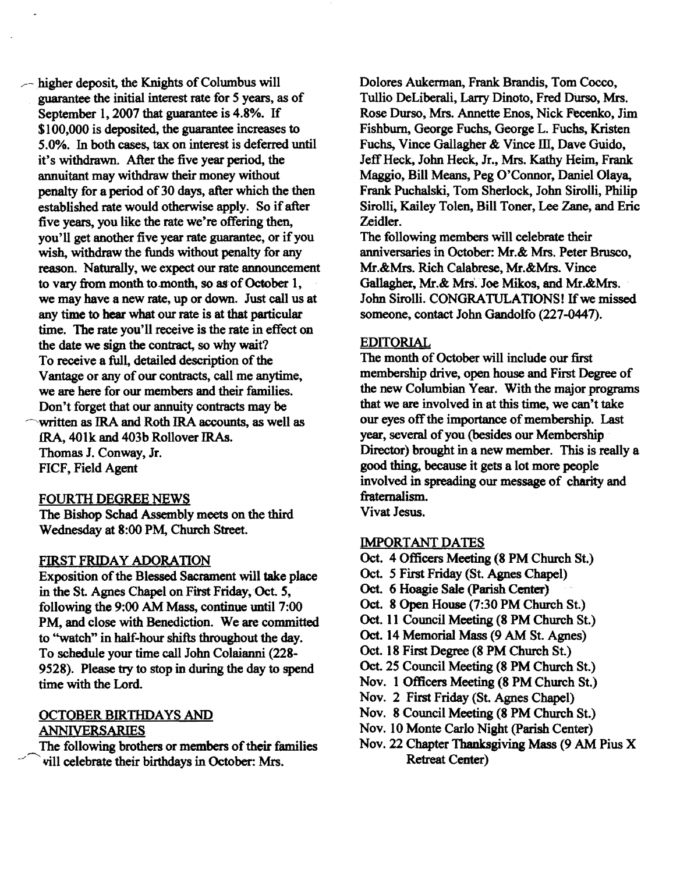$\sim$  higher deposit, the Knights of Columbus will guarantee the initial interest rate for 5 years, as of September I, 2007 that guarantee is 4.8%. If \$100,000 is deposited, the guarantee increases to 5.0%. In both cases, tax on interest is deferred until it's withdrawn. After the five year period, the annuitant may withdraw their money without penalty for a period of 30 days, after which the then established rate would otherwise apply. So if after five years, you like the rate we're offering then, you'll get another five year rate guarantee, or if you wish, withdraw the funds without penalty for any reason. Naturally, we expect our rate announcement to vary from month to month, so as of October 1, we may have a new rate, up or down. Just call us at any time to hear what our rate is at that particular time. The rate you'll receive is the rate in effect on the date we sign the contract, so why wait? To receive a full, detailed description of the Vantage or any of our contracts, call me anytime, we are here for our members and their families. Don't forget that our annuity contracts may be ~written as IRA and Roth IRA accounts, as well as JRA, 401k and 403b Rollover IRAs. Thomas J. Conway, Jr. FICF, Field Agent

#### FOURTH DEGREE NEWS

The Bishop Schad Assembly meets on the third Wednesday at 8:00 PM, Church Street.

## FIRST FRIDAY ADORATION

Exposition of the Blessed Sacrament will take place in the St. Agnes Chapel on First Friday, Oct. 5, following the 9:00 AM Mass, continue until 7:00 PM, and close with Benediction. We are committed to "watch" in half-hour shifts throughout the day. To schedule your time call John Colaianni (228 9528). Please try to stop in during the day to spend time with the Lord.

# OCTOBER BIRTHDAYS AND ANNIVERSARIES

The following brothers or members of their families vill celebrate their birthdays in October: Mrs.

Dolores Aukerman, Frank Brandis, Tom Cocco, Tullio DeLiberali, Larry Dinoto, Fred Durso, Mrs. Rose Durso, Mrs. Annette Enos, Nick Fecenko, Jim Fishburn, George Fuchs, George L. Fuchs, Kristen Fuchs, Vince Gallagher & Vince III, Dave Guido, Jeff Heck, John Heck, Jr., Mrs. Kathy Heim, Frank Maggio, Bill Means, Peg O'Connor, Daniel Olaya, Frank Puchalski, Tom Sherlock, John Sirolli, Philip Sirolli, Kailey Tolen, Bill Toner, Lee Zane, and Eric Zeidler.

The following members will celebrate their anniversaries in October: Mr.& Mrs. Peter Brusco, Mr.&Mrs. Rich Calabrese, Mr.&Mrs. Vince Gallagher, Mr.& Mrs'. Joe Mikos, and Mr.&Mrs. John Sirolli. CONGRATULATIONS! If we missed someone, contact John Gandolfo (227-0447).

## EDITORIAL

The month of October will include our first membership drive, open house and First Degree of the new Columbian Year. With the major programs that we are involved in at this time, we can't take our eyes off the importance of membership. Last year, several of you (besides our Membership Director) brought in a new member. This is really a good thing, because it gets a lot more people involved in spreading our message of charity and fraternalism.

Vivat Jesus.

## IMPORTANT DATES

- Oct. 4 Officers Meeting (8 PM Church St.)
- Oct 5 First Friday (St. Agnes Chapel)
- Oct. 6 Hoagie Sale (parish Center)
- Oct. 8 Open House (7:30 PM Church St.)
- Oct. 11 Council Meeting (8 PM Church St.)
- Oct. 14 Memorial Mass (9 AM St. Agnes)
- Oct. 18 First Degree (8 PM Church St.)
- Oct 25 Council Meeting (8 PM Church St.)
- Nov. 1 Officers Meeting (8 PM Church St.)
- Nov. 2 First Friday (St. Agnes Chapel)
- Nov. 8 Council Meeting (8 PM Church St.)
- Nov. 10 Monte Carlo Night (parish Center)
- Nov. 22 Chapter Thanksgiving Mass (9 AM Pius X Retreat Center)